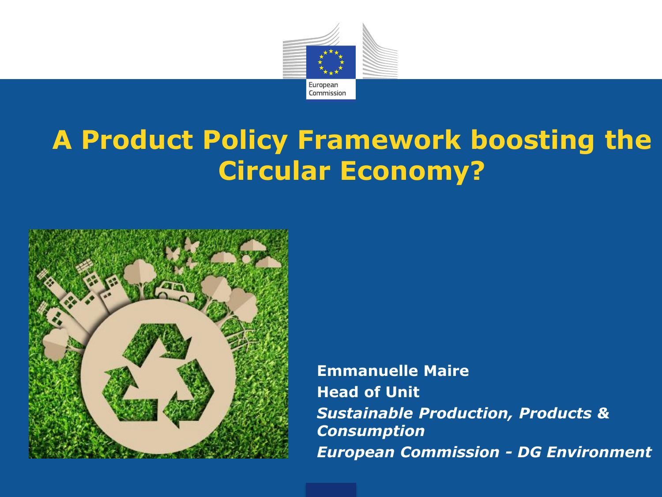

## **A Product Policy Framework boosting the Circular Economy?**



**Emmanuelle Maire Head of Unit**  *Sustainable Production, Products & Consumption European Commission - DG Environment*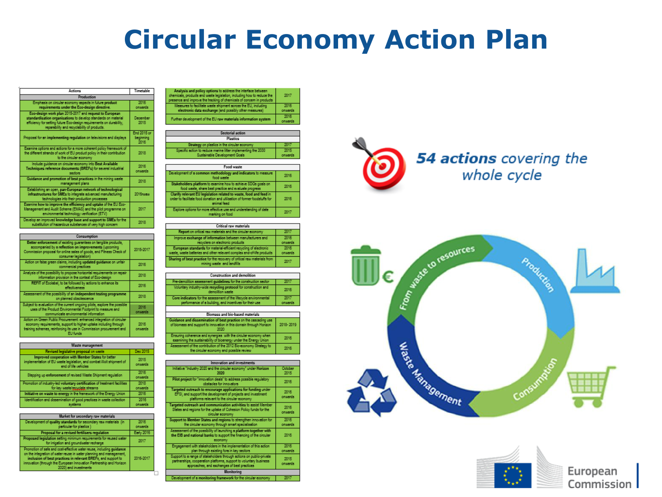### **Circular Economy Action Plan**

| Actions                                                                                                                                                                                                                                         | Timetable                               |  |  |
|-------------------------------------------------------------------------------------------------------------------------------------------------------------------------------------------------------------------------------------------------|-----------------------------------------|--|--|
| Production                                                                                                                                                                                                                                      |                                         |  |  |
| Emphasis on circular economy aspects in future product<br>requirements under the Eco-design directive.                                                                                                                                          | 2016<br>onwards                         |  |  |
| Eco-design work plan 2015-2017 and request to European<br>standardisation organisations to develop standards on material<br>efficiency for setting future Eco-design requirements on durability.<br>reparability and recyclability of products. | December<br>2015                        |  |  |
| Proposal for an implementing regulation on televisions and displays                                                                                                                                                                             | <b>End 2015 or</b><br>beginning<br>2016 |  |  |
| Examine options and actions for a more coherent policy framework of<br>the different strands of work of EU product policy in their contribution<br>to the circular economy                                                                      | 2018                                    |  |  |
| Include quidence on circular economy into Best Available<br>Techniques reference documents (BREFs) for several industrial<br>sectors                                                                                                            | 2016<br>onwards                         |  |  |
| Guidance and promotion of best practices in the mining waste<br>management plans                                                                                                                                                                | 2018                                    |  |  |
| Establishing an open, pan-European network of technological<br>infrastructures for SMEs to integrate advanced manufacturing<br>technologies into their production processes                                                                     | 2016 August                             |  |  |
| Examine how to improve the efficiency and uptake of the EU Eco-<br>Management and Audit Scheme (EMAS) and the pilot programme on<br>environmental technology verification (ETV)                                                                 | 2017                                    |  |  |
| Develop an improved knowledge base and support to SMEs for the<br>substitution of hazardous substances of very high concern                                                                                                                     | 2018                                    |  |  |

| Consumption                                                                                                                                                                                                                 |                  |
|-----------------------------------------------------------------------------------------------------------------------------------------------------------------------------------------------------------------------------|------------------|
| Better enforcement of existing quarantees on tangible products,<br>accompanied by a reflection on improvements (upcoming<br>Commission proposal for online sales of goods, and Fitness Check of<br>consumer legislation)    | 2015-2017        |
| Action on false green claims, including updated quidance on unfair<br>commercial practices                                                                                                                                  | 2016             |
| Analysis of the possibility to propose horizontal requirements on repair<br>information provision in the context of Eco-design                                                                                              | 2018             |
| REFIT of Ecolabel, to be followed by actions to enhance its<br>effectiveness                                                                                                                                                | 2016             |
| Assessment of the possibility of an independent testing programme<br>on planned obsolescence                                                                                                                                | 2018             |
| Subject to evaluation of the current origoing pilots, explore the possible<br>uses of the Product Environmental Footprint to measure and<br>communicate environmental information                                           | 2016<br>orraards |
| Action on Green Public Procurement: enhanced integration of circular<br>economy requirements, support to higher uptake including through<br>training schemes, reinforcing its use in Commission procurement and<br>EU funds | 2016<br>onwards  |

| Waste management                                                                                                                                     |                 |  |
|------------------------------------------------------------------------------------------------------------------------------------------------------|-----------------|--|
| Revised legislative proposal on waste                                                                                                                | Dec 2015        |  |
| Improved cooperation with Member States for better<br>implementation of EU waste legislation, and combat illicit shipment of<br>and of life vehicles | 2015<br>onwards |  |
| Stepping up enforcement of revised Waste Shipment regulation                                                                                         | 2016<br>onwerds |  |
| Promotion of industry-led voluntary certification of treatment facilities<br>for key weekeleppoplein streams                                         | 2018<br>onwards |  |
| Initiative on waste to energy in the fremework of the Energy Union                                                                                   | 2016            |  |
| Identification and dissemination of good practices in waste collection<br>svstems                                                                    | 2016<br>orwards |  |

| Market for secondary raw materials                                                                                                                                                                                                                                                                            |                 |  |
|---------------------------------------------------------------------------------------------------------------------------------------------------------------------------------------------------------------------------------------------------------------------------------------------------------------|-----------------|--|
| Development of quality standards for secondary raw materials (in<br>perficular for plastics )                                                                                                                                                                                                                 | 2016<br>onwards |  |
| Proposal for a revised fertilisers regulation                                                                                                                                                                                                                                                                 | Early 2016      |  |
| Proposed legislation setting minimum requirements for reused weter<br>for irrigation and groundwater recharge                                                                                                                                                                                                 | 2017            |  |
| Promotion of sefe and cost-effective water reuse, including quidance<br>on the integration of water reuse in water planning and management,<br>inclusion of best practices in relevant BREFs, and support to<br>innovation (through the European Innovation Partnership and Horizon)<br>2020) and investments | 2016-2017       |  |

| Analysis and policy options to address the interface between<br>chemicals, products and waste legislation, including how to reduce the<br>presence and improve the tracking of chemicals of concern in products | 2017             |
|-----------------------------------------------------------------------------------------------------------------------------------------------------------------------------------------------------------------|------------------|
| Measures to facilitate waste shipment across the EU, including<br>electronic data exchange (and possibly other measures)                                                                                        | 2016<br>onwards  |
| Further development of the EU raw materials information system                                                                                                                                                  | 2016<br>cruards. |

| Sectorial action                                                                               |                 |
|------------------------------------------------------------------------------------------------|-----------------|
| <b>Plactics</b>                                                                                |                 |
| Strategy on plastics in the circular economy                                                   | 2017            |
| Specific action to reduce marine litter implementing the 2030<br>Sustainable Development Goals | 2015<br>onwards |
|                                                                                                |                 |
| Food waste                                                                                     |                 |

| Development of a common methodology and indicators to measure<br>front words.                                                                                   | 2016 |
|-----------------------------------------------------------------------------------------------------------------------------------------------------------------|------|
| Stakeholders platform to examine how to echieve SDGs goals on<br>food waste, share best practice and evaluate progress                                          | 2016 |
| Clarify relevant EU legislation related to waste, food and feed in<br>order to facilitate food donation and utilisation of former foodstuffs for<br>animal food | 2016 |
| Explore options for more effective use and understanding of date<br>marking on food                                                                             | 2017 |

| Critical raw materials                                                                                                                      |                 |  |
|---------------------------------------------------------------------------------------------------------------------------------------------|-----------------|--|
| Report on critical raw materials and the circular economy                                                                                   | 2017            |  |
| improve exchange of information between manufacturers and<br>recyclers on electronic products                                               | 2016<br>onwards |  |
| European standards for material-efficient recycling of electronic<br>vaste, weeke batteries and other relevant complex and-of-life products | 2016<br>onwards |  |
| Sharing of best practice for the recovery of critical rew materials from<br>mining waste and landfills                                      | 2017            |  |

| Construction and demolition                                                                                                   |                 |  |  |
|-------------------------------------------------------------------------------------------------------------------------------|-----------------|--|--|
| Pre-demolition assessment quidelines for the construction sector                                                              | 2017            |  |  |
| Voluntary industry-wide recycling protocol for construction and<br>demolion waste                                             | 2016            |  |  |
| Core indicators for the assessment of the lifecycle environmental<br>performance of a building, and incentives for their use- | 2017<br>onwords |  |  |
|                                                                                                                               |                 |  |  |

| biomass and bio-based materials.                                                                                                            |           |  |
|---------------------------------------------------------------------------------------------------------------------------------------------|-----------|--|
| idance and dissemination of best practice on the cascading use<br>biomess and support to innovation in this domain through Horizon<br>ononi | 2018-2019 |  |
| nsuring coherence and synergies with the circular economy when<br>exemining the sustainability of bioenergy under the Energy Union          | 2016      |  |
| ssessment of the contribution of the 2012 Bio-economy Stretegy to<br>the circular economy and roughly region.                               | 2016      |  |

| Innovation and investments                                                                                                                                                                |                 |  |  |
|-------------------------------------------------------------------------------------------------------------------------------------------------------------------------------------------|-----------------|--|--|
| Initiative "Industry 2020 and the circular economy" under Horizon<br>2020                                                                                                                 | October<br>2015 |  |  |
| Pilot project for "innovation deals" to address possible requlatory.<br>obstacles for innovators                                                                                          | 2016            |  |  |
| Targeted outreach to encourage applications for funding under<br>EFSI, and support the development of projects and investment<br>platforms relevant to the circular economy               | 2016<br>onwards |  |  |
| Targeted outreach and communication activities to essist Member<br>States and regions for the uptake of Cohesion Policy funds for the<br>circular economy                                 | 2016<br>onwards |  |  |
| Support to Member States and regions to strengthen innovation for<br>the circular economy through smart specialisation                                                                    | 2016<br>onwerds |  |  |
| Assessment of the possibility of launching a platform together with<br>the EIB and national banks to support the financing of the circular<br>economy                                     | 2016            |  |  |
| Engagement with stakeholders in the implementation of this action<br>plan through existing fora in key sectors.                                                                           | 2016<br>onwerds |  |  |
| Support to a range of stakeholders through actions on public-private<br>pertnerships, cooperation platforms, support to voluntary business<br>approaches, and exchanges of best practices | 2015<br>onwards |  |  |
| Monitorina                                                                                                                                                                                |                 |  |  |
| Development of a monitoring framework for the circular economy                                                                                                                            | 2017            |  |  |



#### 54 actions covering the whole cycle



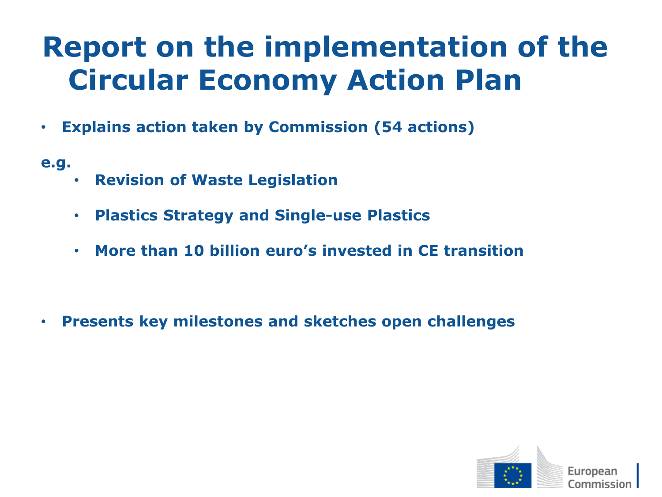## **Report on the implementation of the Circular Economy Action Plan**

- **Explains action taken by Commission (54 actions)**
- **e.g.**
- **Revision of Waste Legislation**
- **Plastics Strategy and Single-use Plastics**
- **More than 10 billion euro's invested in CE transition**

• **Presents key milestones and sketches open challenges**

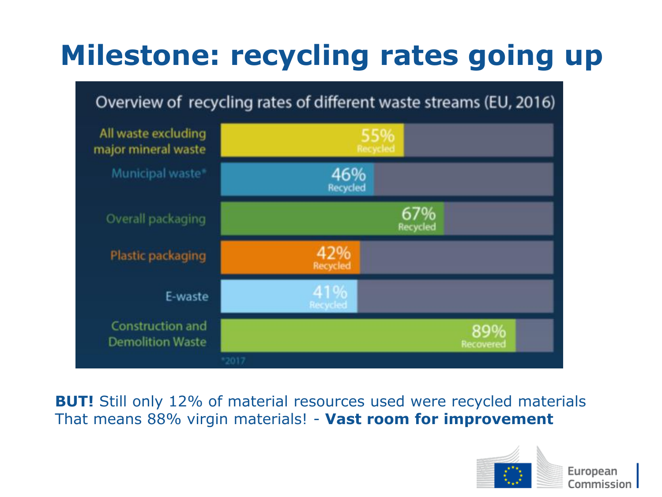# **Milestone: recycling rates going up**

#### Overview of recycling rates of different waste streams (EU, 2016)



**BUT!** Still only 12% of material resources used were recycled materials That means 88% virgin materials! - **Vast room for improvement** 

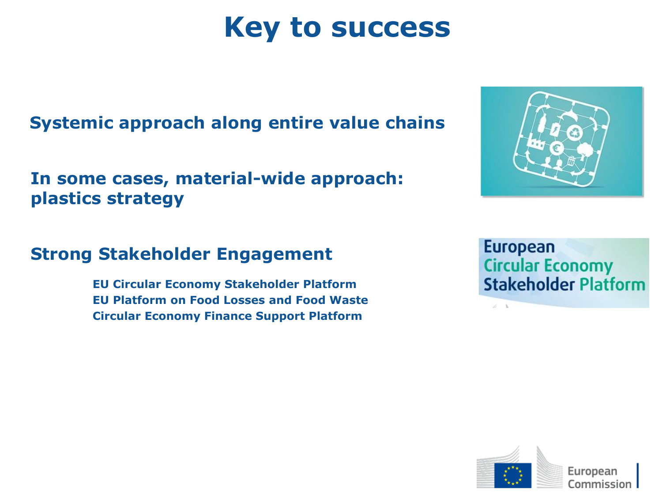## **Key to success**

#### **Systemic approach along entire value chains**

#### **In some cases, material-wide approach: plastics strategy**



#### **Strong Stakeholder Engagement**

**EU Circular Economy Stakeholder Platform EU Platform on Food Losses and Food Waste Circular Economy Finance Support Platform**

European **Circular Economy Stakeholder Platform** 

 $Z = 1$ 

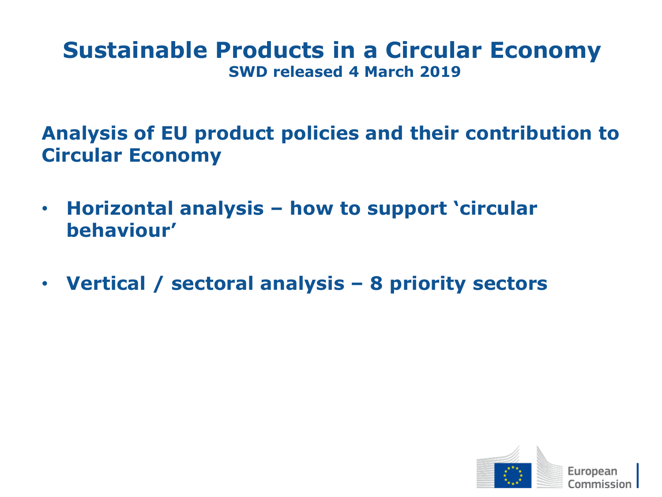#### **Sustainable Products in a Circular Economy SWD released 4 March 2019**

**Analysis of EU product policies and their contribution to Circular Economy**

- **Horizontal analysis – how to support 'circular behaviour'**
- **Vertical / sectoral analysis – 8 priority sectors**

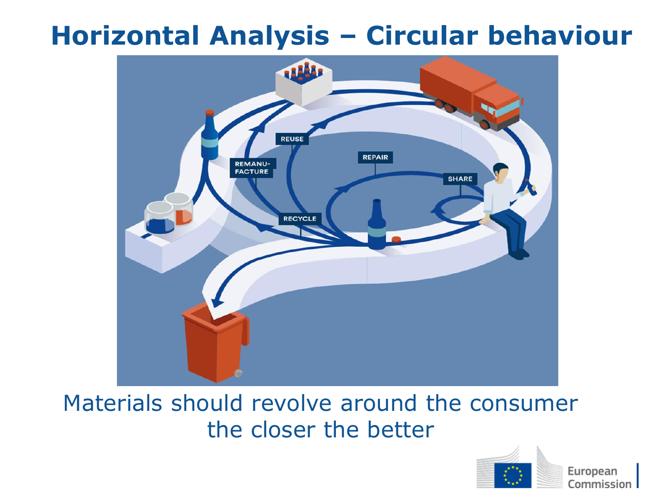### **Horizontal Analysis – Circular behaviour**



#### Materials should revolve around the consumer the closer the better

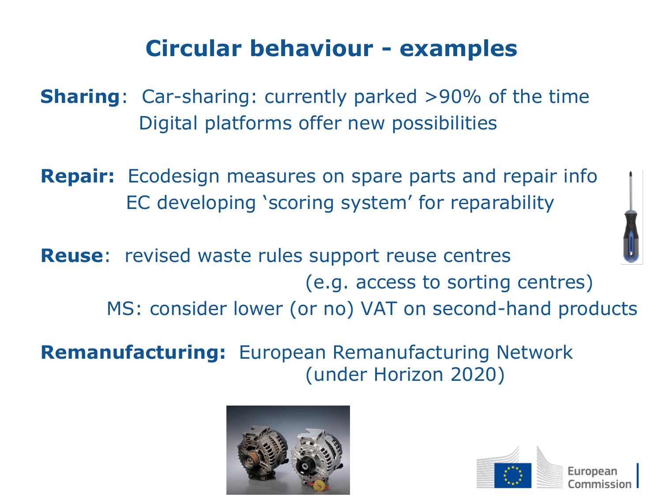### **Circular behaviour - examples**

**Sharing**: Car-sharing: currently parked >90% of the time Digital platforms offer new possibilities

**Repair:** Ecodesign measures on spare parts and repair info EC developing 'scoring system' for reparability

**Reuse**: revised waste rules support reuse centres (e.g. access to sorting centres) MS: consider lower (or no) VAT on second-hand products

**Remanufacturing:** European Remanufacturing Network (under Horizon 2020)



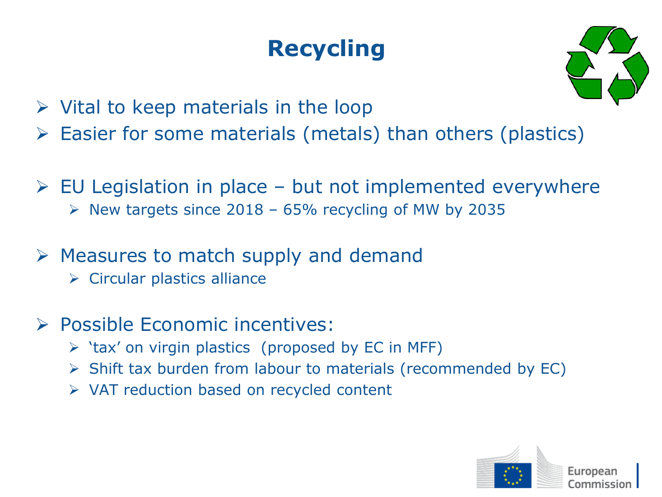### **Recycling**



- $\triangleright$  Vital to keep materials in the loop
- $\triangleright$  Easier for some materials (metals) than others (plastics)
- $\triangleright$  EU Legislation in place but not implemented everywhere  $\triangleright$  New targets since 2018 – 65% recycling of MW by 2035
- $\triangleright$  Measures to match supply and demand
	- ➢ Circular plastics alliance
- ➢ Possible Economic incentives:
	- $\triangleright$  'tax' on virgin plastics (proposed by EC in MFF)
	- ➢ Shift tax burden from labour to materials (recommended by EC)
	- ➢ VAT reduction based on recycled content

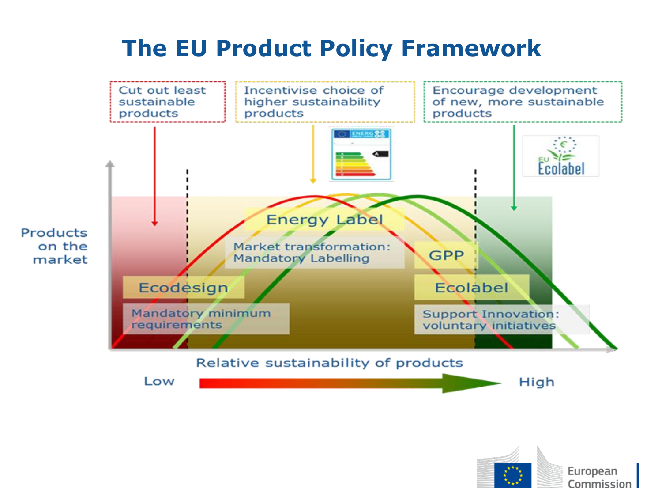### **The EU Product Policy Framework**



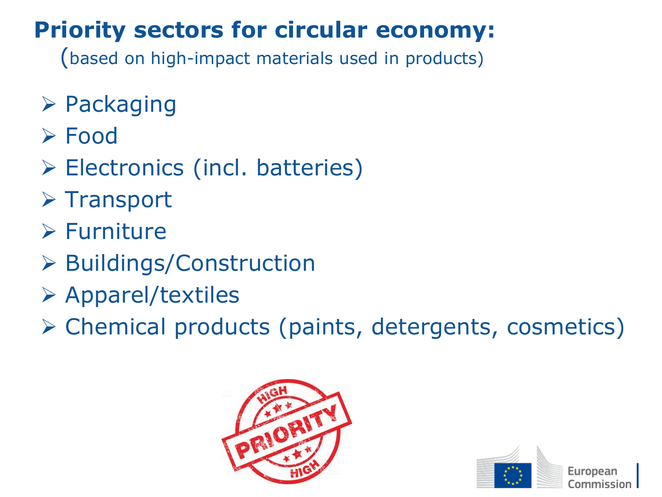### **Priority sectors for circular economy:**

(based on high-impact materials used in products)

- ➢ Packaging
- ➢ Food
- ➢ Electronics (incl. batteries)
- ➢ Transport
- ➢ Furniture
- ➢ Buildings/Construction
- ➢ Apparel/textiles
- ➢ Chemical products (paints, detergents, cosmetics)



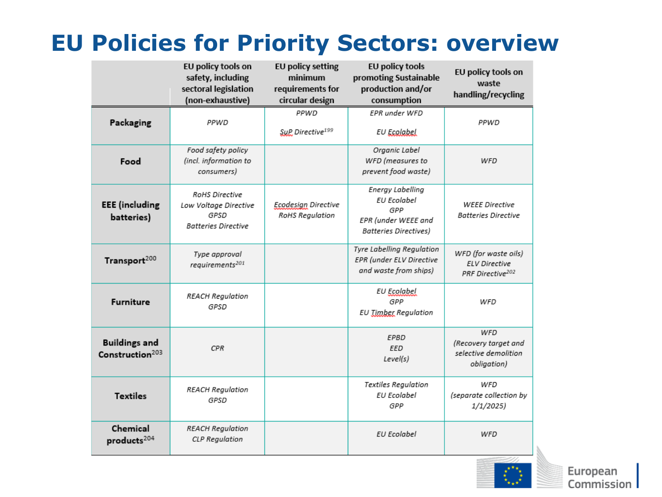### **EU Policies for Priority Sectors: overview**

|                                                     | EU policy tools on<br>safety, including<br>sectoral legislation<br>(non-exhaustive) | <b>EU policy setting</b><br>minimum<br>requirements for<br>circular design | EU policy tools<br>promoting Sustainable<br>production and/or<br>consumption                  | EU policy tools on<br>waste<br>handling/recycling                            |
|-----------------------------------------------------|-------------------------------------------------------------------------------------|----------------------------------------------------------------------------|-----------------------------------------------------------------------------------------------|------------------------------------------------------------------------------|
| Packaging                                           | PPWD                                                                                | PPWD<br>SuP Directive <sup>199</sup>                                       | EPR under WFD<br>EU Ecalabel                                                                  | PPWD                                                                         |
| Food                                                | Food safety policy<br>(incl. information to<br>consumers)                           |                                                                            | Organic Label<br>WFD (measures to<br>prevent food waste)                                      | WFD                                                                          |
| <b>EEE</b> (including<br>batteries)                 | RoHS Directive<br>Low Voltage Directive<br>GPSD<br><b>Batteries Directive</b>       | Ecodesign Directive<br>RoHS Regulation                                     | Energy Labelling<br>EU Ecolabel<br>GPP<br>EPR (under WEEE and<br><b>Batteries Directives)</b> | <b>WEEE Directive</b><br><b>Batteries Directive</b>                          |
| Transport <sup>200</sup>                            | Type approval<br>requirements <sup>201</sup>                                        |                                                                            | Tyre Labelling Regulation<br>EPR (under ELV Directive<br>and waste from ships)                | WFD (for waste oils)<br><b>ELV Directive</b><br>PRF Directive <sup>202</sup> |
| <b>Furniture</b>                                    | <b>REACH Regulation</b><br>GPSD                                                     |                                                                            | <b>EU Ecolabel</b><br>GPP<br><b>EU Timber Regulation</b>                                      | WFD                                                                          |
| <b>Buildings and</b><br>Construction <sup>203</sup> | <b>CPR</b>                                                                          |                                                                            | <b>EPBD</b><br>EED<br>Level(s)                                                                | WFD<br>(Recovery target and<br>selective demolition<br>obligation)           |
| <b>Textiles</b>                                     | <b>REACH Regulation</b><br>GPSD                                                     |                                                                            | Textiles Regulation<br>EU Ecolabel<br>GPP                                                     | WFD<br>(separate collection by<br>1/1/2025)                                  |
| Chemical<br>products <sup>204</sup>                 | <b>REACH Regulation</b><br><b>CLP</b> Regulation                                    |                                                                            | <b>EU Ecolabel</b>                                                                            | WFD                                                                          |

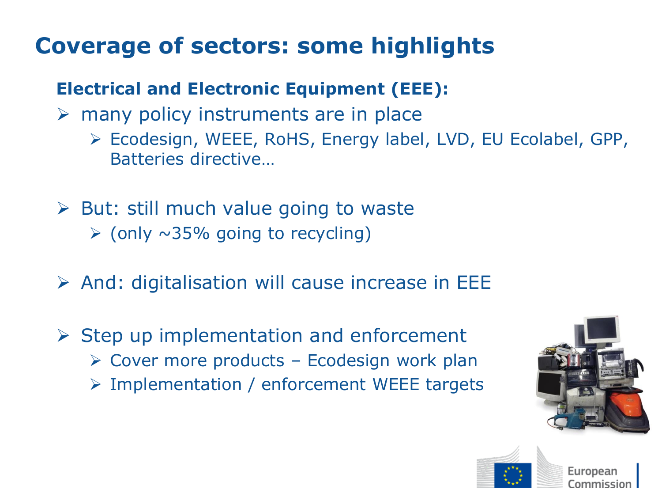### **Coverage of sectors: some highlights**

#### **Electrical and Electronic Equipment (EEE):**

- $\triangleright$  many policy instruments are in place
	- ➢ Ecodesign, WEEE, RoHS, Energy label, LVD, EU Ecolabel, GPP, Batteries directive…
- $\triangleright$  But: still much value going to waste  $\triangleright$  (only  $\sim$ 35% going to recycling)
- $\triangleright$  And: digitalisation will cause increase in EEE
- $\triangleright$  Step up implementation and enforcement  $\triangleright$  Cover more products – Ecodesign work plan ➢ Implementation / enforcement WEEE targets



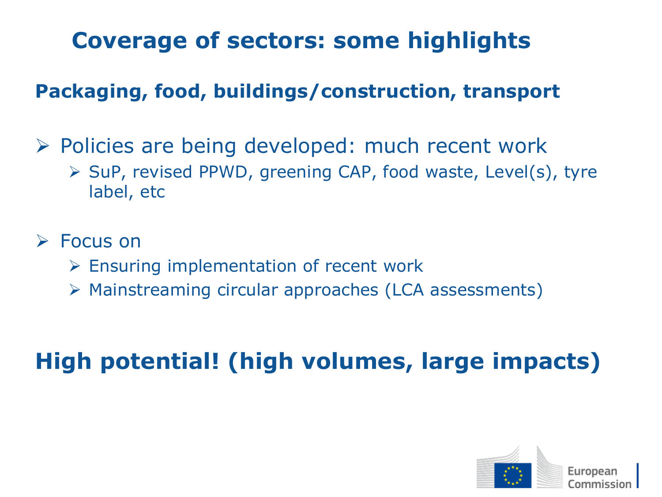### **Coverage of sectors: some highlights**

#### **Packaging, food, buildings/construction, transport**

- ➢ Policies are being developed: much recent work
	- ➢ SuP, revised PPWD, greening CAP, food waste, Level(s), tyre label, etc

#### ➢ Focus on

- ➢ Ensuring implementation of recent work
- ➢ Mainstreaming circular approaches (LCA assessments)

### **High potential! (high volumes, large impacts)**

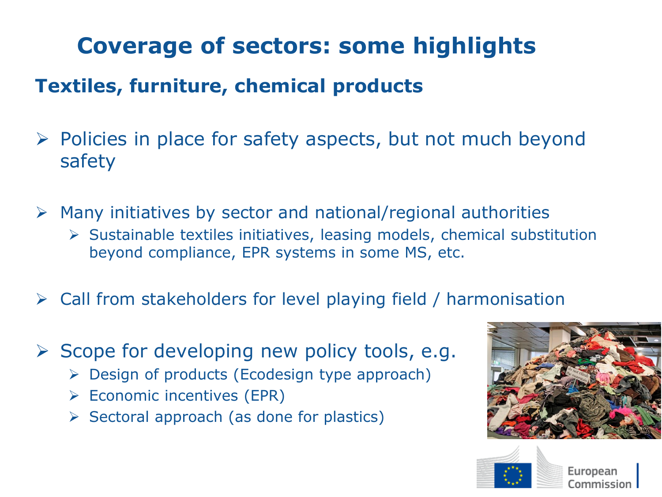### **Coverage of sectors: some highlights**

#### **Textiles, furniture, chemical products**

- ➢ Policies in place for safety aspects, but not much beyond safety
- $\triangleright$  Many initiatives by sector and national/regional authorities
	- ➢ Sustainable textiles initiatives, leasing models, chemical substitution beyond compliance, EPR systems in some MS, etc.
- ➢ Call from stakeholders for level playing field / harmonisation
- $\triangleright$  Scope for developing new policy tools, e.g.
	- $\triangleright$  Design of products (Ecodesign type approach)
	- ➢ Economic incentives (EPR)
	- $\triangleright$  Sectoral approach (as done for plastics)





Furonean Commission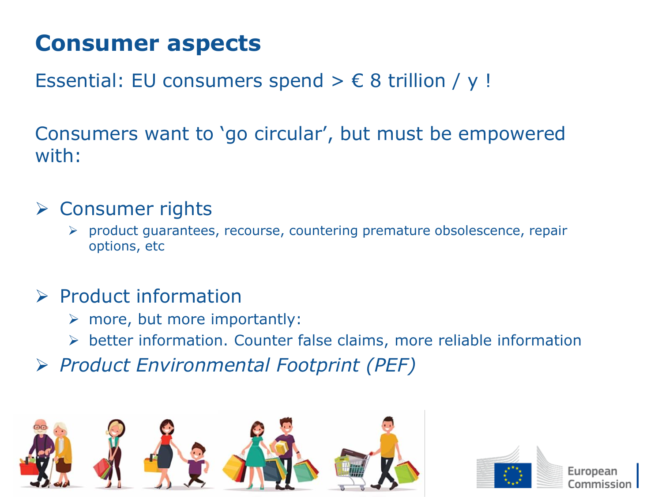### **Consumer aspects**

Essential: EU consumers spend  $> \epsilon$  8 trillion / y !

Consumers want to 'go circular', but must be empowered with:

#### ➢ Consumer rights

➢ product guarantees, recourse, countering premature obsolescence, repair options, etc

#### ➢ Product information

- $\triangleright$  more, but more importantly:
- ➢ better information. Counter false claims, more reliable information
- ➢ *Product Environmental Footprint (PEF)*





Furoneal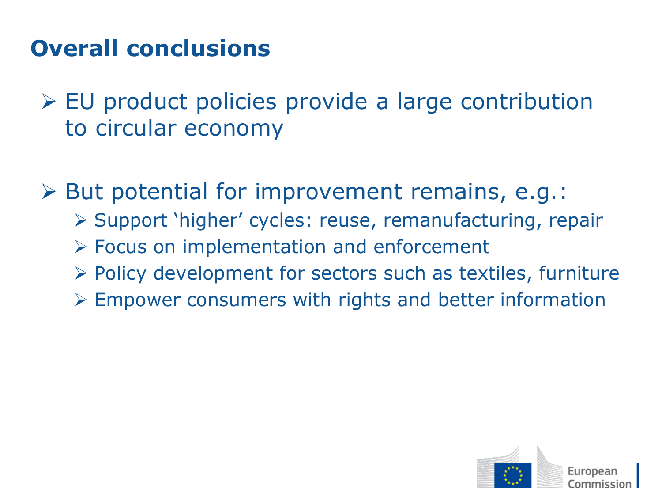### **Overall conclusions**

- ➢ EU product policies provide a large contribution to circular economy
- ➢ But potential for improvement remains, e.g.: ➢ Support 'higher' cycles: reuse, remanufacturing, repair ➢ Focus on implementation and enforcement ➢ Policy development for sectors such as textiles, furniture ➢ Empower consumers with rights and better information